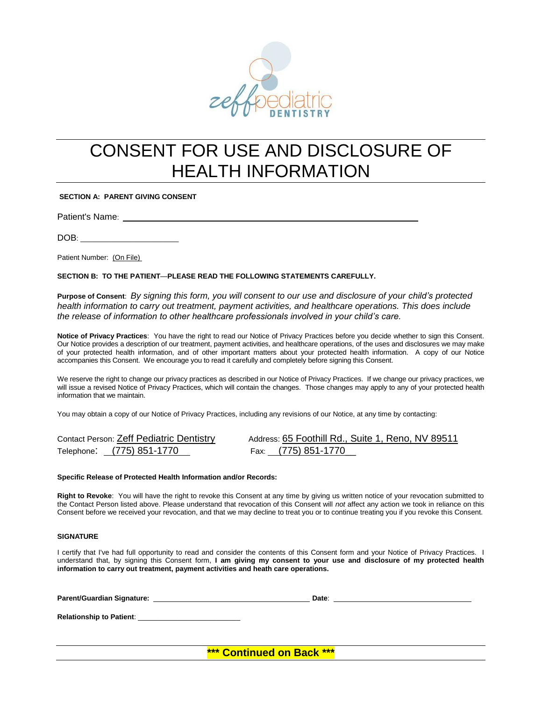

## CONSENT FOR USE AND DISCLOSURE OF HEALTH INFORMATION

**SECTION A: PARENT GIVING CONSENT**

Patient's Name:

DOB: \_\_\_\_\_\_\_\_\_\_\_\_\_\_\_\_\_\_\_\_\_\_\_\_\_

Patient Number: (On File)

**SECTION B: TO THE PATIENT**—**PLEASE READ THE FOLLOWING STATEMENTS CAREFULLY.**

**Purpose of Consent**: *By signing this form, you will consent to our use and disclosure of your child's protected health information to carry out treatment, payment activities, and healthcare operations. This does include the release of information to other healthcare professionals involved in your child's care.*

**Notice of Privacy Practices**: You have the right to read our Notice of Privacy Practices before you decide whether to sign this Consent. Our Notice provides a description of our treatment, payment activities, and healthcare operations, of the uses and disclosures we may make of your protected health information, and of other important matters about your protected health information. A copy of our Notice accompanies this Consent. We encourage you to read it carefully and completely before signing this Consent.

We reserve the right to change our privacy practices as described in our Notice of Privacy Practices. If we change our privacy practices, we will issue a revised Notice of Privacy Practices, which will contain the changes. Those changes may apply to any of your protected health information that we maintain.

You may obtain a copy of our Notice of Privacy Practices, including any revisions of our Notice, at any time by contacting:

| Contact Person: Zeff Pediatric Dentistry | Address: 65 Foothill Rd., Suite 1, Reno, NV 89511 |
|------------------------------------------|---------------------------------------------------|
| Telephone: (775) 851-1770                | Fax: (775) 851-1770                               |

#### **Specific Release of Protected Health Information and/or Records:**

**Right to Revoke**: You will have the right to revoke this Consent at any time by giving us written notice of your revocation submitted to the Contact Person listed above. Please understand that revocation of this Consent will *not* affect any action we took in reliance on this Consent before we received your revocation, and that we may decline to treat you or to continue treating you if you revoke this Consent.

#### **SIGNATURE**

I certify that I've had full opportunity to read and consider the contents of this Consent form and your Notice of Privacy Practices. I understand that, by signing this Consent form, **I am giving my consent to your use and disclosure of my protected health information to carry out treatment, payment activities and heath care operations.**

| <b>Parent/Guardian Signature:</b><br><u> Andrew American and American and American and American and American and American and American and American an</u> | Date: |
|------------------------------------------------------------------------------------------------------------------------------------------------------------|-------|
| Relationship to Patient:                                                                                                                                   |       |
|                                                                                                                                                            |       |

**\*\*\* Continued on Back \*\*\***